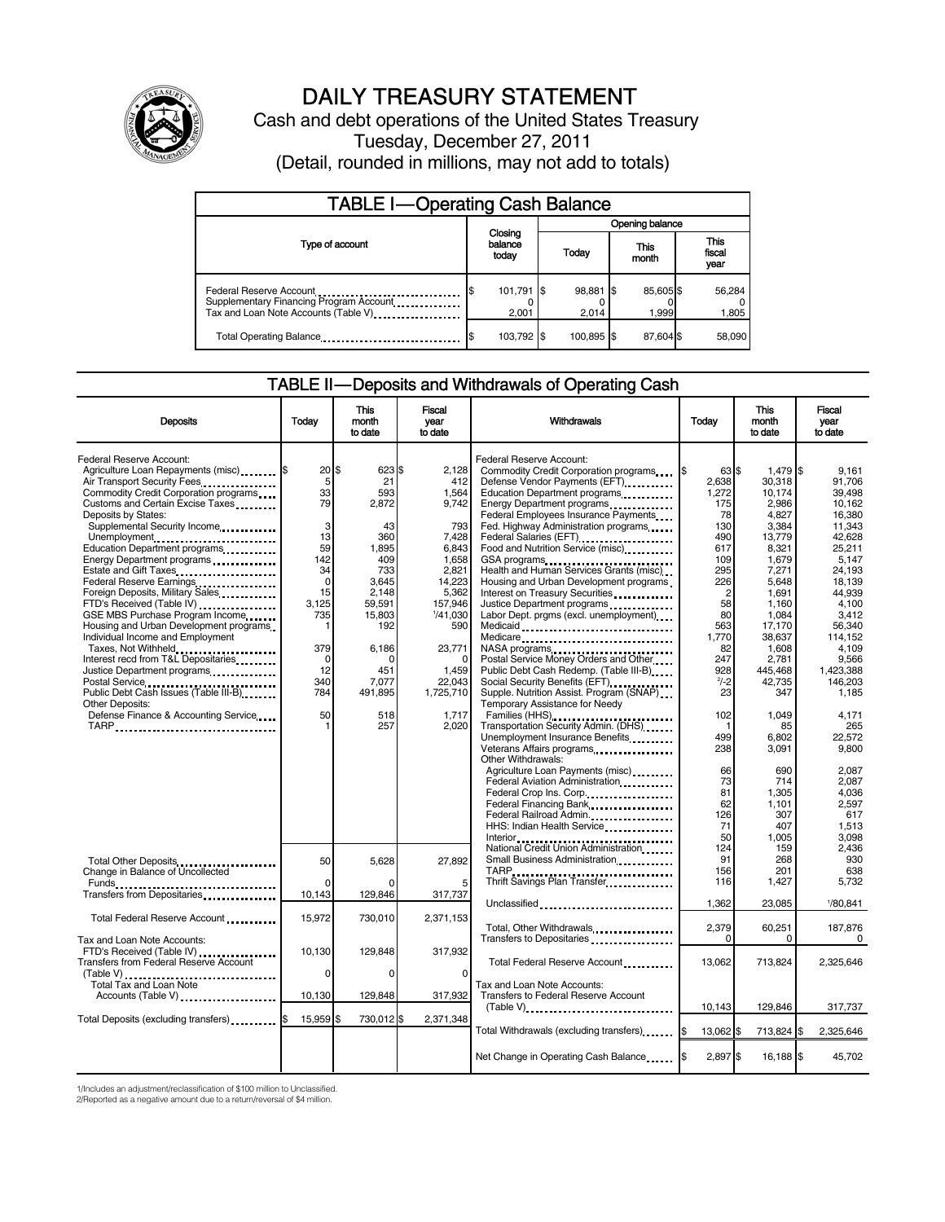

# DAILY TREASURY STATEMENT

Cash and debt operations of the United States Treasury Tuesday, December 27, 2011 (Detail, rounded in millions, may not add to totals)

| <b>TABLE I-Operating Cash Balance</b>                                                                      |    |                             |                        |                        |  |                   |                               |                 |
|------------------------------------------------------------------------------------------------------------|----|-----------------------------|------------------------|------------------------|--|-------------------|-------------------------------|-----------------|
|                                                                                                            |    |                             | <b>Opening balance</b> |                        |  |                   |                               |                 |
| Type of account                                                                                            |    | Closing<br>balance<br>today |                        | This<br>Today<br>month |  |                   | <b>This</b><br>fiscal<br>year |                 |
| Federal Reserve Account<br>Supplementary Financing Program Account<br>Tax and Loan Note Accounts (Table V) | \$ | 101,791 \$<br>2,001         |                        | 98,881 \$<br>2.014     |  | 85,605\$<br>1.999 |                               | 56,284<br>1,805 |
| Total Operating Balance                                                                                    |    | 103,792 \$                  |                        | 100.895 \$             |  | 87.604 \$         |                               | 58.090          |

# TABLE II — Deposits and Withdrawals of Operating Cash

| <b>Deposits</b>                                            | Todav             | <b>This</b><br>month<br>to date | Fiscal<br>year<br>to date | Withdrawals                                                    | <b>Today</b>         | <b>This</b><br>month<br>to date | <b>Fiscal</b><br>vear<br>to date |
|------------------------------------------------------------|-------------------|---------------------------------|---------------------------|----------------------------------------------------------------|----------------------|---------------------------------|----------------------------------|
|                                                            |                   |                                 |                           |                                                                |                      |                                 |                                  |
| Federal Reserve Account:                                   |                   |                                 |                           | Federal Reserve Account:                                       |                      |                                 |                                  |
| Agriculture Loan Repayments (misc) \$                      | $20$ \$           | 623 \$                          | 2.128                     | Commodity Credit Corporation programs                          | 63 \$                | 1,479 \$                        | 9.161                            |
| Air Transport Security Fees                                | 5                 | 21                              | 412                       | Defense Vendor Payments (EFT)                                  | 2,638                | 30,318                          | 91,706                           |
| Commodity Credit Corporation programs                      | 33                | 593                             | 1,564                     | Education Department programs                                  | 1,272                | 10,174                          | 39.498                           |
| Customs and Certain Excise Taxes                           | 79                | 2,872                           | 9.742                     | Energy Department programs                                     | 175                  | 2,986                           | 10.162                           |
| Deposits by States:                                        |                   |                                 |                           | Federal Employees Insurance Payments                           | 78                   | 4,827                           | 16,380                           |
| Supplemental Security Income                               | 3                 | 43                              | 793                       | Fed. Highway Administration programs                           | 130                  | 3.384                           | 11.343                           |
| Unemployment                                               | 13                | 360                             | 7,428                     | Federal Salaries (EFT)                                         | 490                  | 13,779                          | 42.628                           |
| Education Department programs                              | 59                | 1,895                           | 6,843                     | Food and Nutrition Service (misc)                              | 617                  | 8,321                           | 25,211                           |
| Energy Department programs                                 | 142               | 409                             | 1,658                     | GSA programs                                                   | 109                  | 1,679                           | 5.147                            |
| Estate and Gift Taxes                                      | 34<br>$\mathbf 0$ | 733                             | 2,821                     | Health and Human Services Grants (misc)                        | 295                  | 7,271                           | 24,193                           |
| Federal Reserve Earnings                                   |                   | 3,645                           | 14,223                    | Housing and Urban Development programs                         | 226                  | 5,648                           | 18,139                           |
| Foreign Deposits, Military Sales                           | 15                | 2.148                           | 5,362                     | Interest on Treasury Securities                                | $\overline{c}$<br>58 | 1,691                           | 44.939<br>4.100                  |
| FTD's Received (Table IV)                                  | 3,125             | 59.591                          | 157,946<br>1/41,030       | Justice Department programs                                    | 80                   | 1,160                           |                                  |
| GSE MBS Purchase Program Income                            | 735               | 15,803<br>192                   | 590                       | Labor Dept. prgms (excl. unemployment)                         | 563                  | 1,084<br>17.170                 | 3,412<br>56.340                  |
| Housing and Urban Development programs.                    |                   |                                 |                           | Medicaid                                                       | 1.770                |                                 | 114.152                          |
| Individual Income and Employment                           | 379               | 6,186                           | 23,771                    | Medicare                                                       | 82                   | 38.637<br>1,608                 | 4,109                            |
| Taxes, Not Withheld<br>Interest recd from T&L Depositaries | $\mathbf 0$       | O                               | $\Omega$                  | NASA programs<br>Postal Service Money Orders and Other         | 247                  | 2.781                           | 9.566                            |
|                                                            | 12                | 451                             | 1,459                     | Public Debt Cash Redemp. (Table III-B)                         | 928                  | 445,468                         | 1,423,388                        |
| Justice Department programs                                | 340               | 7,077                           | 22,043                    |                                                                | $2/-2$               | 42,735                          | 146,203                          |
| Public Debt Cash Issues (Table III-B)                      | 784               | 491,895                         | 1,725,710                 | Supple. Nutrition Assist. Program (SNAP)                       | 23                   | 347                             | 1,185                            |
| <b>Other Deposits:</b>                                     |                   |                                 |                           | Temporary Assistance for Needy                                 |                      |                                 |                                  |
| Defense Finance & Accounting Service                       | 50                | 518                             | 1,717                     | Families (HHS)                                                 | 102                  | 1,049                           | 4,171                            |
| TARP                                                       |                   | 257                             | 2,020                     | Transportation Security Admin. (DHS)                           |                      | 85                              | 265                              |
|                                                            |                   |                                 |                           | Unemployment Insurance Benefits                                | 499                  | 6,802                           | 22.572                           |
|                                                            |                   |                                 |                           | Veterans Affairs programs                                      | 238                  | 3,091                           | 9,800                            |
|                                                            |                   |                                 |                           | Other Withdrawals:                                             |                      |                                 |                                  |
|                                                            |                   |                                 |                           | Agriculture Loan Payments (misc)                               | 66                   | 690                             | 2,087                            |
|                                                            |                   |                                 |                           | Federal Aviation Administration                                | 73                   | 714                             | 2,087                            |
|                                                            |                   |                                 |                           | Federal Crop Ins. Corp                                         | 81                   | 1,305                           | 4.036                            |
|                                                            |                   |                                 |                           | Federal Financing Bank                                         | 62                   | 1,101                           | 2.597                            |
|                                                            |                   |                                 |                           | Federal Railroad Admin                                         | 126                  | 307                             | 617                              |
|                                                            |                   |                                 |                           | HHS: Indian Health Service                                     | 71                   | 407                             | 1,513                            |
|                                                            |                   |                                 |                           | Interior <sub>na</sub> executive contemporary contemporary and | 50                   | 1,005                           | 3.098                            |
|                                                            |                   |                                 |                           | National Credit Union Administration                           | 124                  | 159                             | 2,436                            |
| Total Other Deposits<br>1998: The Lines                    | 50                | 5,628                           | 27,892                    | Small Business Administration <b>Communistration</b>           | 91                   | 268                             | 930                              |
| Change in Balance of Uncollected                           |                   |                                 |                           | TARP                                                           | 156                  | 201                             | 638                              |
|                                                            | $\Omega$          |                                 | 5                         | Thrift Savings Plan Transfer                                   | 116                  | 1,427                           | 5,732                            |
| Transfers from Depositaries                                | 10,143            | 129,846                         | 317,737                   |                                                                |                      |                                 |                                  |
|                                                            |                   |                                 |                           | Unclassified                                                   | 1,362                | 23,085                          | 1/80,841                         |
| Total Federal Reserve Account                              | 15,972            | 730,010                         | 2,371,153                 |                                                                |                      |                                 |                                  |
|                                                            |                   |                                 |                           | Total, Other Withdrawals                                       | 2,379                | 60,251                          | 187,876                          |
| Tax and Loan Note Accounts:                                |                   |                                 |                           | Transfers to Depositaries                                      | $\Omega$             | $\Omega$                        | 0                                |
| FTD's Received (Table IV)                                  | 10,130            | 129,848                         | 317,932                   |                                                                |                      |                                 |                                  |
| <b>Transfers from Federal Reserve Account</b>              |                   |                                 |                           | Total Federal Reserve Account                                  | 13,062               | 713,824                         | 2,325,646                        |
|                                                            | $\Omega$          | O                               | $\Omega$                  |                                                                |                      |                                 |                                  |
| Total Tax and Loan Note                                    |                   |                                 |                           | Tax and Loan Note Accounts:                                    |                      |                                 |                                  |
| Accounts (Table V)                                         | 10,130            | 129,848                         | 317,932                   | Transfers to Federal Reserve Account                           |                      |                                 |                                  |
|                                                            |                   |                                 |                           |                                                                | 10,143               | 129,846                         | 317,737                          |
| Total Deposits (excluding transfers) <b>1996</b>           | 15,959 \$         | 730,012 \$                      | 2,371,348                 |                                                                |                      |                                 |                                  |
|                                                            |                   |                                 |                           | Total Withdrawals (excluding transfers)                        | 13,062 \$            | 713,824 \$                      | 2,325,646                        |
|                                                            |                   |                                 |                           |                                                                |                      |                                 |                                  |
|                                                            |                   |                                 |                           | Net Change in Operating Cash Balance                           | 2,897 \$             | 16,188 \$                       | 45,702                           |
|                                                            |                   |                                 |                           |                                                                |                      |                                 |                                  |

1/Includes an adjustment/reclassification of \$100 million to Unclassified.

2/Reported as a negative amount due to a return/reversal of \$4 million.